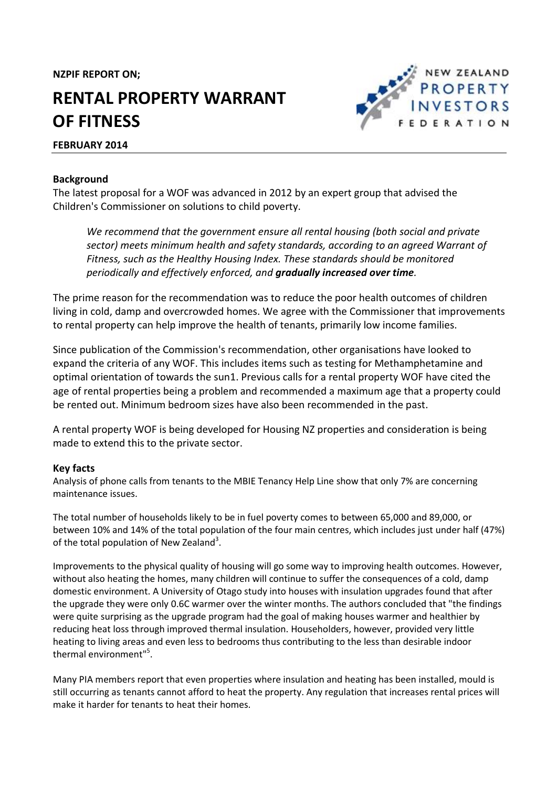**NZPIF REPORT ON;**

# **RENTAL PROPERTY WARRANT OF FITNESS**

## **FEBRUARY 2014**



The latest proposal for a WOF was advanced in 2012 by an expert group that advised the Children's Commissioner on solutions to child poverty.

*We recommend that the government ensure all rental housing (both social and private sector) meets minimum health and safety standards, according to an agreed Warrant of Fitness, such as the Healthy Housing Index. These standards should be monitored periodically and effectively enforced, and gradually increased over time.*

NEW ZEALAND **PROPERTY INVESTORS FEDERATION** 

The prime reason for the recommendation was to reduce the poor health outcomes of children living in cold, damp and overcrowded homes. We agree with the Commissioner that improvements to rental property can help improve the health of tenants, primarily low income families.

Since publication of the Commission's recommendation, other organisations have looked to expand the criteria of any WOF. This includes items such as testing for Methamphetamine and optimal orientation of towards the sun1. Previous calls for a rental property WOF have cited the age of rental properties being a problem and recommended a maximum age that a property could be rented out. Minimum bedroom sizes have also been recommended in the past.

A rental property WOF is being developed for Housing NZ properties and consideration is being made to extend this to the private sector.

## **Key facts**

Analysis of phone calls from tenants to the MBIE Tenancy Help Line show that only 7% are concerning maintenance issues.

The total number of households likely to be in fuel poverty comes to between 65,000 and 89,000, or between 10% and 14% of the total population of the four main centres, which includes just under half (47%) of the total population of New Zealand<sup>3</sup>.

Improvements to the physical quality of housing will go some way to improving health outcomes. However, without also heating the homes, many children will continue to suffer the consequences of a cold, damp domestic environment. A University of Otago study into houses with insulation upgrades found that after the upgrade they were only 0.6C warmer over the winter months. The authors concluded that "the findings were quite surprising as the upgrade program had the goal of making houses warmer and healthier by reducing heat loss through improved thermal insulation. Householders, however, provided very little heating to living areas and even less to bedrooms thus contributing to the less than desirable indoor thermal environment"<sup>5</sup>.

Many PIA members report that even properties where insulation and heating has been installed, mould is still occurring as tenants cannot afford to heat the property. Any regulation that increases rental prices will make it harder for tenants to heat their homes.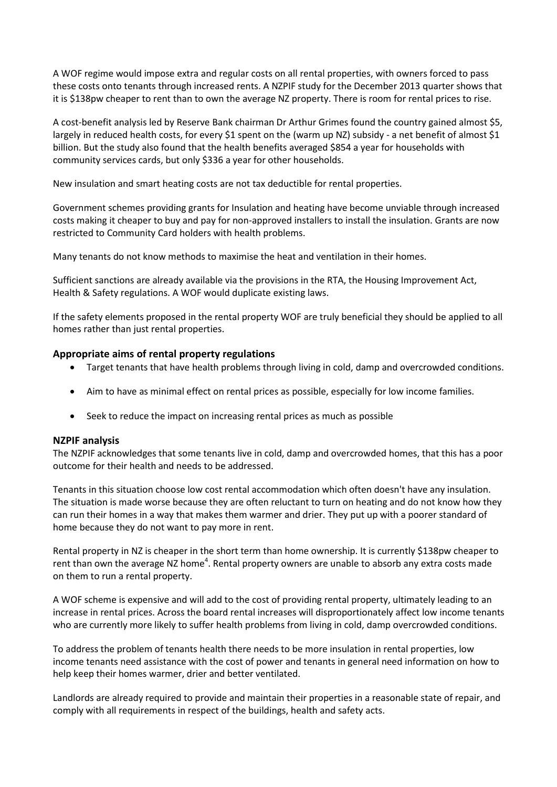A WOF regime would impose extra and regular costs on all rental properties, with owners forced to pass these costs onto tenants through increased rents. A NZPIF study for the December 2013 quarter shows that it is \$138pw cheaper to rent than to own the average NZ property. There is room for rental prices to rise.

A cost-benefit analysis led by Reserve Bank chairman Dr Arthur Grimes found the country gained almost \$5, largely in reduced health costs, for every \$1 spent on the (warm up NZ) subsidy - a net benefit of almost \$1 billion. But the study also found that the health benefits averaged \$854 a year for households with community services cards, but only \$336 a year for other households.

New insulation and smart heating costs are not tax deductible for rental properties.

Government schemes providing grants for Insulation and heating have become unviable through increased costs making it cheaper to buy and pay for non-approved installers to install the insulation. Grants are now restricted to Community Card holders with health problems.

Many tenants do not know methods to maximise the heat and ventilation in their homes.

Sufficient sanctions are already available via the provisions in the RTA, the Housing Improvement Act, Health & Safety regulations. A WOF would duplicate existing laws.

If the safety elements proposed in the rental property WOF are truly beneficial they should be applied to all homes rather than just rental properties.

## **Appropriate aims of rental property regulations**

- Target tenants that have health problems through living in cold, damp and overcrowded conditions.
- Aim to have as minimal effect on rental prices as possible, especially for low income families.
- Seek to reduce the impact on increasing rental prices as much as possible

### **NZPIF analysis**

The NZPIF acknowledges that some tenants live in cold, damp and overcrowded homes, that this has a poor outcome for their health and needs to be addressed.

Tenants in this situation choose low cost rental accommodation which often doesn't have any insulation. The situation is made worse because they are often reluctant to turn on heating and do not know how they can run their homes in a way that makes them warmer and drier. They put up with a poorer standard of home because they do not want to pay more in rent.

Rental property in NZ is cheaper in the short term than home ownership. It is currently \$138pw cheaper to rent than own the average NZ home<sup>4</sup>. Rental property owners are unable to absorb any extra costs made on them to run a rental property.

A WOF scheme is expensive and will add to the cost of providing rental property, ultimately leading to an increase in rental prices. Across the board rental increases will disproportionately affect low income tenants who are currently more likely to suffer health problems from living in cold, damp overcrowded conditions.

To address the problem of tenants health there needs to be more insulation in rental properties, low income tenants need assistance with the cost of power and tenants in general need information on how to help keep their homes warmer, drier and better ventilated.

Landlords are already required to provide and maintain their properties in a reasonable state of repair, and comply with all requirements in respect of the buildings, health and safety acts.